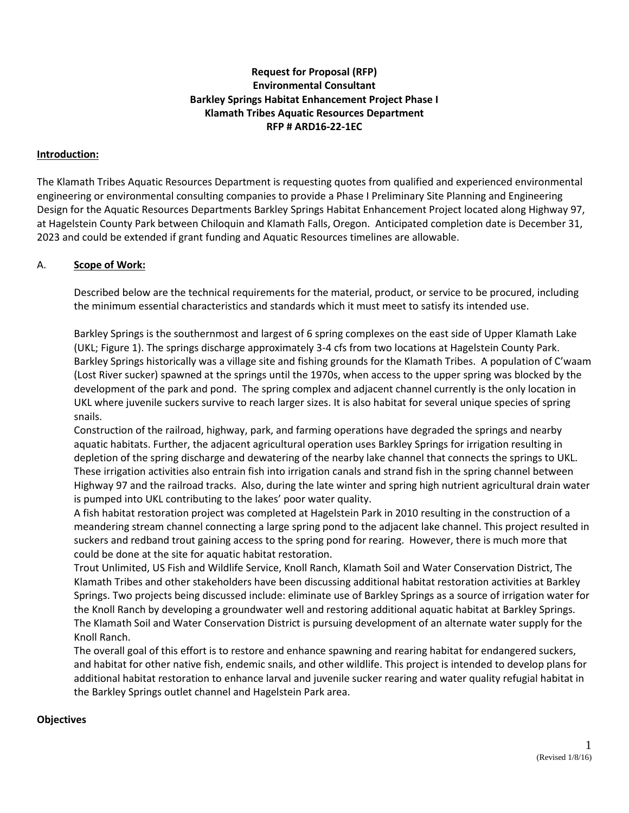## **Request for Proposal (RFP) Environmental Consultant Barkley Springs Habitat Enhancement Project Phase I Klamath Tribes Aquatic Resources Department RFP # ARD16-22-1EC**

### **Introduction:**

The Klamath Tribes Aquatic Resources Department is requesting quotes from qualified and experienced environmental engineering or environmental consulting companies to provide a Phase I Preliminary Site Planning and Engineering Design for the Aquatic Resources Departments Barkley Springs Habitat Enhancement Project located along Highway 97, at Hagelstein County Park between Chiloquin and Klamath Falls, Oregon. Anticipated completion date is December 31, 2023 and could be extended if grant funding and Aquatic Resources timelines are allowable.

### A. **Scope of Work:**

Described below are the technical requirements for the material, product, or service to be procured, including the minimum essential characteristics and standards which it must meet to satisfy its intended use.

Barkley Springs is the southernmost and largest of 6 spring complexes on the east side of Upper Klamath Lake (UKL; Figure 1). The springs discharge approximately 3-4 cfs from two locations at Hagelstein County Park. Barkley Springs historically was a village site and fishing grounds for the Klamath Tribes. A population of C'waam (Lost River sucker) spawned at the springs until the 1970s, when access to the upper spring was blocked by the development of the park and pond. The spring complex and adjacent channel currently is the only location in UKL where juvenile suckers survive to reach larger sizes. It is also habitat for several unique species of spring snails.

Construction of the railroad, highway, park, and farming operations have degraded the springs and nearby aquatic habitats. Further, the adjacent agricultural operation uses Barkley Springs for irrigation resulting in depletion of the spring discharge and dewatering of the nearby lake channel that connects the springs to UKL. These irrigation activities also entrain fish into irrigation canals and strand fish in the spring channel between Highway 97 and the railroad tracks. Also, during the late winter and spring high nutrient agricultural drain water is pumped into UKL contributing to the lakes' poor water quality.

A fish habitat restoration project was completed at Hagelstein Park in 2010 resulting in the construction of a meandering stream channel connecting a large spring pond to the adjacent lake channel. This project resulted in suckers and redband trout gaining access to the spring pond for rearing. However, there is much more that could be done at the site for aquatic habitat restoration.

Trout Unlimited, US Fish and Wildlife Service, Knoll Ranch, Klamath Soil and Water Conservation District, The Klamath Tribes and other stakeholders have been discussing additional habitat restoration activities at Barkley Springs. Two projects being discussed include: eliminate use of Barkley Springs as a source of irrigation water for the Knoll Ranch by developing a groundwater well and restoring additional aquatic habitat at Barkley Springs. The Klamath Soil and Water Conservation District is pursuing development of an alternate water supply for the Knoll Ranch.

The overall goal of this effort is to restore and enhance spawning and rearing habitat for endangered suckers, and habitat for other native fish, endemic snails, and other wildlife. This project is intended to develop plans for additional habitat restoration to enhance larval and juvenile sucker rearing and water quality refugial habitat in the Barkley Springs outlet channel and Hagelstein Park area.

### **Objectives**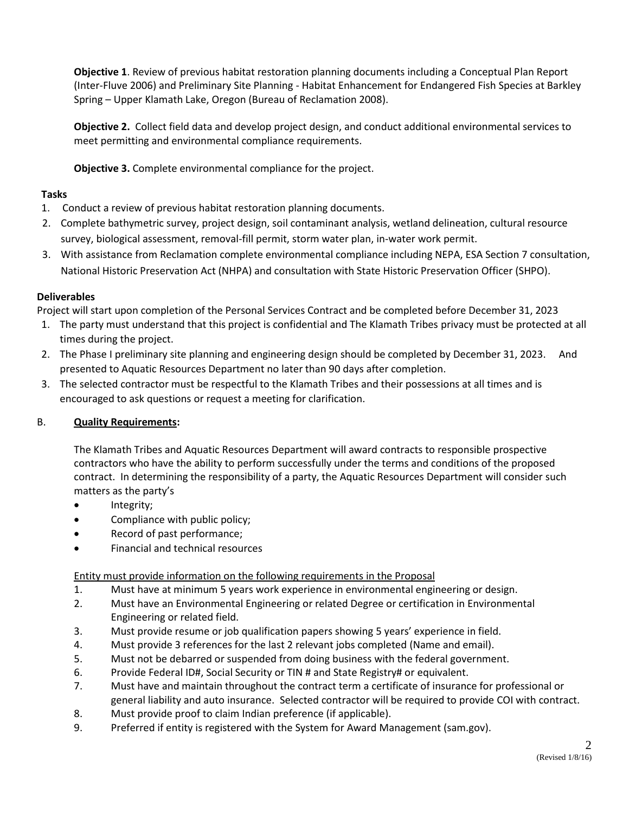**Objective 1**. Review of previous habitat restoration planning documents including a Conceptual Plan Report (Inter-Fluve 2006) and Preliminary Site Planning - Habitat Enhancement for Endangered Fish Species at Barkley Spring – Upper Klamath Lake, Oregon (Bureau of Reclamation 2008).

**Objective 2.** Collect field data and develop project design, and conduct additional environmental services to meet permitting and environmental compliance requirements.

**Objective 3.** Complete environmental compliance for the project.

## **Tasks**

- 1. Conduct a review of previous habitat restoration planning documents.
- 2. Complete bathymetric survey, project design, soil contaminant analysis, wetland delineation, cultural resource survey, biological assessment, removal-fill permit, storm water plan, in-water work permit.
- 3. With assistance from Reclamation complete environmental compliance including NEPA, ESA Section 7 consultation, National Historic Preservation Act (NHPA) and consultation with State Historic Preservation Officer (SHPO).

## **Deliverables**

Project will start upon completion of the Personal Services Contract and be completed before December 31, 2023

- 1. The party must understand that this project is confidential and The Klamath Tribes privacy must be protected at all times during the project.
- 2. The Phase I preliminary site planning and engineering design should be completed by December 31, 2023. And presented to Aquatic Resources Department no later than 90 days after completion.
- 3. The selected contractor must be respectful to the Klamath Tribes and their possessions at all times and is encouraged to ask questions or request a meeting for clarification.

# B. **Quality Requirements:**

The Klamath Tribes and Aquatic Resources Department will award contracts to responsible prospective contractors who have the ability to perform successfully under the terms and conditions of the proposed contract. In determining the responsibility of a party, the Aquatic Resources Department will consider such matters as the party's

- Integrity;
- Compliance with public policy;
- Record of past performance;
- Financial and technical resources

# Entity must provide information on the following requirements in the Proposal

- 1. Must have at minimum 5 years work experience in environmental engineering or design.
- 2. Must have an Environmental Engineering or related Degree or certification in Environmental Engineering or related field.
- 3. Must provide resume or job qualification papers showing 5 years' experience in field.
- 4. Must provide 3 references for the last 2 relevant jobs completed (Name and email).
- 5. Must not be debarred or suspended from doing business with the federal government.
- 6. Provide Federal ID#, Social Security or TIN # and State Registry# or equivalent.
- 7. Must have and maintain throughout the contract term a certificate of insurance for professional or general liability and auto insurance. Selected contractor will be required to provide COI with contract.
- 8. Must provide proof to claim Indian preference (if applicable).
- 9. Preferred if entity is registered with the System for Award Management (sam.gov).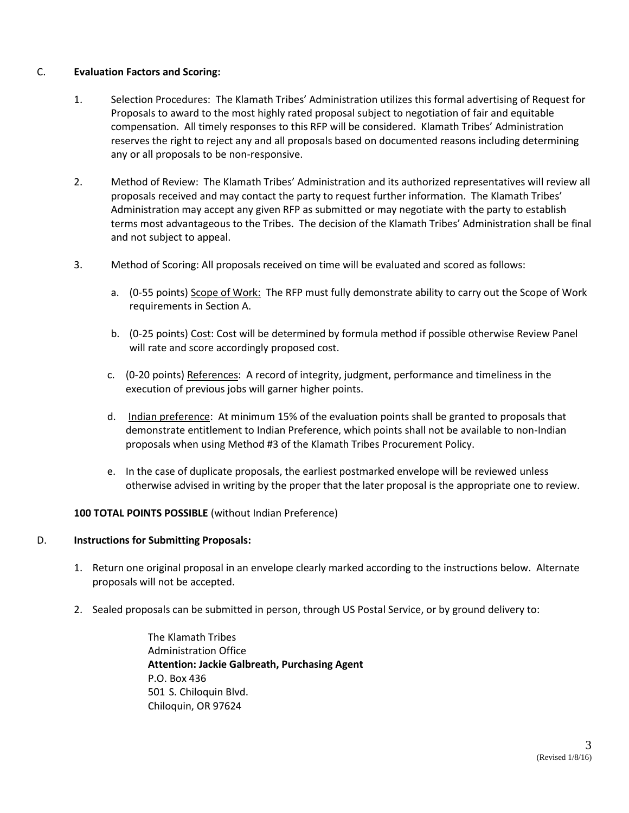### C. **Evaluation Factors and Scoring:**

- 1. Selection Procedures: The Klamath Tribes' Administration utilizes this formal advertising of Request for Proposals to award to the most highly rated proposal subject to negotiation of fair and equitable compensation. All timely responses to this RFP will be considered. Klamath Tribes' Administration reserves the right to reject any and all proposals based on documented reasons including determining any or all proposals to be non-responsive.
- 2. Method of Review: The Klamath Tribes' Administration and its authorized representatives will review all proposals received and may contact the party to request further information. The Klamath Tribes' Administration may accept any given RFP as submitted or may negotiate with the party to establish terms most advantageous to the Tribes. The decision of the Klamath Tribes' Administration shall be final and not subject to appeal.
- 3. Method of Scoring: All proposals received on time will be evaluated and scored as follows:
	- a. (0-55 points) Scope of Work: The RFP must fully demonstrate ability to carry out the Scope of Work requirements in Section A.
	- b. (0-25 points) Cost: Cost will be determined by formula method if possible otherwise Review Panel will rate and score accordingly proposed cost.
	- c. (0-20 points) References: A record of integrity, judgment, performance and timeliness in the execution of previous jobs will garner higher points.
	- d. Indian preference: At minimum 15% of the evaluation points shall be granted to proposals that demonstrate entitlement to Indian Preference, which points shall not be available to non-Indian proposals when using Method #3 of the Klamath Tribes Procurement Policy.
	- e. In the case of duplicate proposals, the earliest postmarked envelope will be reviewed unless otherwise advised in writing by the proper that the later proposal is the appropriate one to review.

### **100 TOTAL POINTS POSSIBLE** (without Indian Preference)

### D. **Instructions for Submitting Proposals:**

- 1. Return one original proposal in an envelope clearly marked according to the instructions below. Alternate proposals will not be accepted.
- 2. Sealed proposals can be submitted in person, through US Postal Service, or by ground delivery to:

The Klamath Tribes Administration Office **Attention: Jackie Galbreath, Purchasing Agent** P.O. Box 436 501 S. Chiloquin Blvd. Chiloquin, OR 97624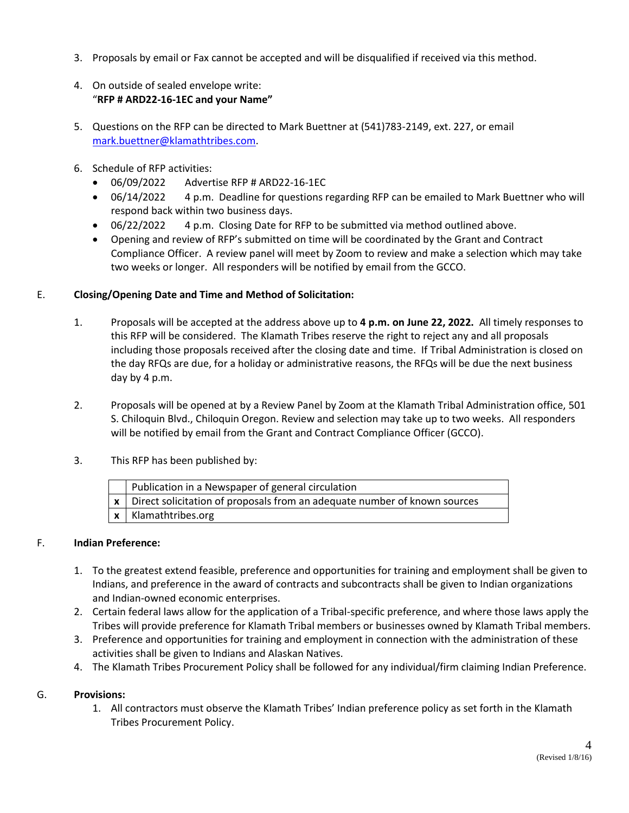- 3. Proposals by email or Fax cannot be accepted and will be disqualified if received via this method.
- 4. On outside of sealed envelope write: "**RFP # ARD22-16-1EC and your Name"**
- 5. Questions on the RFP can be directed to Mark Buettner at (541)783-2149, ext. 227, or email [mark.buettner@klamathtribes.com.](mailto:mark.buettner@klamathtribes.com)
- 6. Schedule of RFP activities:
	- 06/09/2022 Advertise RFP # ARD22-16-1EC
	- 06/14/2022 4 p.m. Deadline for questions regarding RFP can be emailed to Mark Buettner who will respond back within two business days.
	- 06/22/2022 4 p.m. Closing Date for RFP to be submitted via method outlined above.
	- Opening and review of RFP's submitted on time will be coordinated by the Grant and Contract Compliance Officer. A review panel will meet by Zoom to review and make a selection which may take two weeks or longer. All responders will be notified by email from the GCCO.

## E. **Closing/Opening Date and Time and Method of Solicitation:**

- 1. Proposals will be accepted at the address above up to **4 p.m. on June 22, 2022.** All timely responses to this RFP will be considered. The Klamath Tribes reserve the right to reject any and all proposals including those proposals received after the closing date and time. If Tribal Administration is closed on the day RFQs are due, for a holiday or administrative reasons, the RFQs will be due the next business day by 4 p.m.
- 2. Proposals will be opened at by a Review Panel by Zoom at the Klamath Tribal Administration office, 501 S. Chiloquin Blvd., Chiloquin Oregon. Review and selection may take up to two weeks. All responders will be notified by email from the Grant and Contract Compliance Officer (GCCO).
- 3. This RFP has been published by:

| Publication in a Newspaper of general circulation                                         |
|-------------------------------------------------------------------------------------------|
| $\vert x \vert$ Direct solicitation of proposals from an adequate number of known sources |
| $\vert x \vert$ Klamathtribes.org                                                         |

## F. **Indian Preference:**

- 1. To the greatest extend feasible, preference and opportunities for training and employment shall be given to Indians, and preference in the award of contracts and subcontracts shall be given to Indian organizations and Indian-owned economic enterprises.
- 2. Certain federal laws allow for the application of a Tribal-specific preference, and where those laws apply the Tribes will provide preference for Klamath Tribal members or businesses owned by Klamath Tribal members.
- 3. Preference and opportunities for training and employment in connection with the administration of these activities shall be given to Indians and Alaskan Natives.
- 4. The Klamath Tribes Procurement Policy shall be followed for any individual/firm claiming Indian Preference.

## G. **Provisions:**

1. All contractors must observe the Klamath Tribes' Indian preference policy as set forth in the Klamath Tribes Procurement Policy.